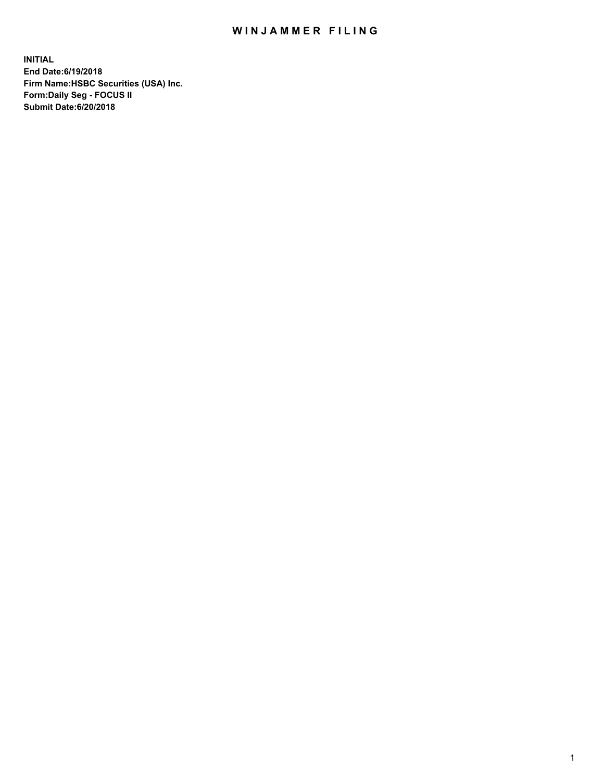## WIN JAMMER FILING

**INITIAL End Date:6/19/2018 Firm Name:HSBC Securities (USA) Inc. Form:Daily Seg - FOCUS II Submit Date:6/20/2018**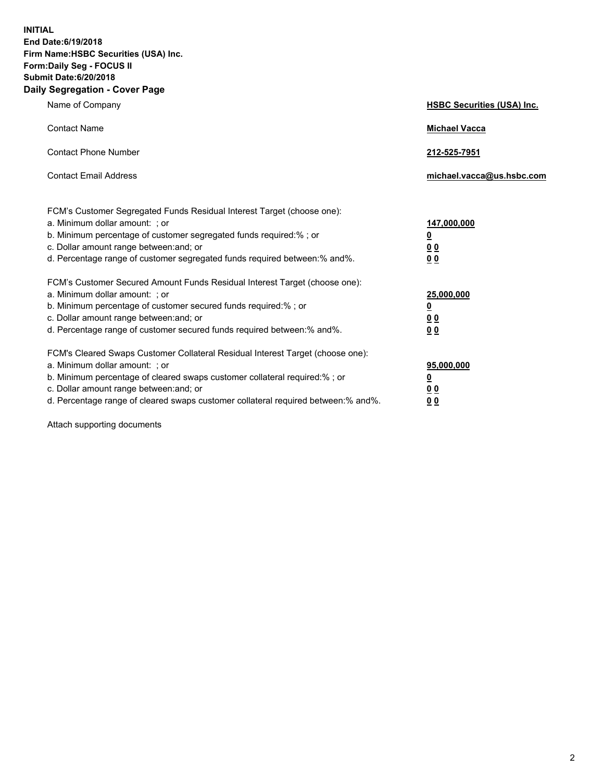**INITIAL End Date:6/19/2018 Firm Name:HSBC Securities (USA) Inc. Form:Daily Seg - FOCUS II Submit Date:6/20/2018 Daily Segregation - Cover Page**

| Name of Company                                                                                                                                                                                                                                                                                                                | <b>HSBC Securities (USA) Inc.</b>                                           |
|--------------------------------------------------------------------------------------------------------------------------------------------------------------------------------------------------------------------------------------------------------------------------------------------------------------------------------|-----------------------------------------------------------------------------|
| <b>Contact Name</b>                                                                                                                                                                                                                                                                                                            | <b>Michael Vacca</b>                                                        |
| <b>Contact Phone Number</b>                                                                                                                                                                                                                                                                                                    | 212-525-7951                                                                |
| <b>Contact Email Address</b>                                                                                                                                                                                                                                                                                                   | michael.vacca@us.hsbc.com                                                   |
| FCM's Customer Segregated Funds Residual Interest Target (choose one):<br>a. Minimum dollar amount: ; or<br>b. Minimum percentage of customer segregated funds required:% ; or<br>c. Dollar amount range between: and; or<br>d. Percentage range of customer segregated funds required between:% and%.                         | 147,000,000<br>$\underline{\mathbf{0}}$<br>0 <sub>0</sub><br>0 <sub>0</sub> |
| FCM's Customer Secured Amount Funds Residual Interest Target (choose one):<br>a. Minimum dollar amount: ; or<br>b. Minimum percentage of customer secured funds required:% ; or<br>c. Dollar amount range between: and; or<br>d. Percentage range of customer secured funds required between: % and %.                         | 25,000,000<br><u>0</u><br>0 <sub>0</sub><br>0 <sub>0</sub>                  |
| FCM's Cleared Swaps Customer Collateral Residual Interest Target (choose one):<br>a. Minimum dollar amount: ; or<br>b. Minimum percentage of cleared swaps customer collateral required:% ; or<br>c. Dollar amount range between: and; or<br>d. Percentage range of cleared swaps customer collateral required between:% and%. | 95,000,000<br><u>0</u><br>00<br>00                                          |

Attach supporting documents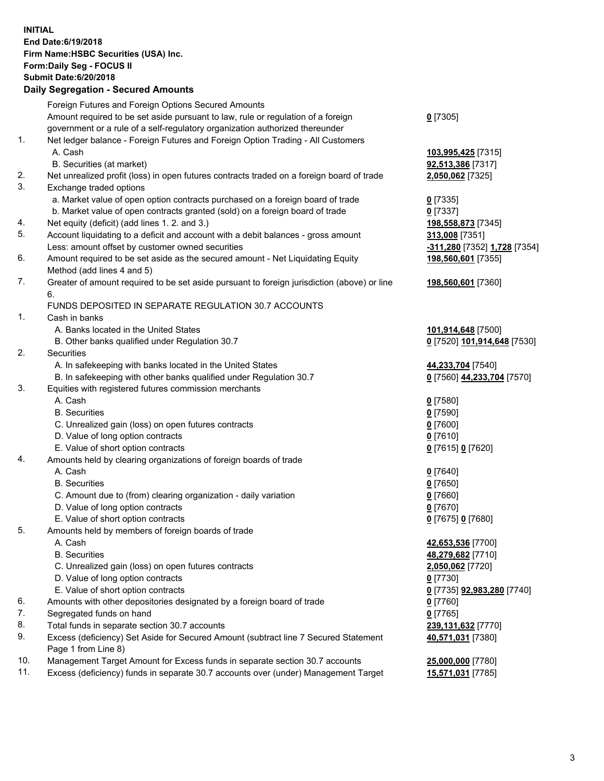**INITIAL End Date:6/19/2018 Firm Name:HSBC Securities (USA) Inc. Form:Daily Seg - FOCUS II Submit Date:6/20/2018 Daily Segregation - Secured Amounts** Foreign Futures and Foreign Options Secured Amounts Amount required to be set aside pursuant to law, rule or regulation of a foreign government or a rule of a self-regulatory organization authorized thereunder 1. Net ledger balance - Foreign Futures and Foreign Option Trading - All Customers A. Cash **103,995,425** [7315] B. Securities (at market) **92,513,386** [7317] 2. Net unrealized profit (loss) in open futures contracts traded on a foreign board of trade **2,050,062** [7325] 3. Exchange traded options a. Market value of open option contracts purchased on a foreign board of trade **0** [7335] b. Market value of open contracts granted (sold) on a foreign board of trade **0** [7337] 4. Net equity (deficit) (add lines 1. 2. and 3.) **198,558,873** [7345] 5. Account liquidating to a deficit and account with a debit balances - gross amount **313,008** [7351] Less: amount offset by customer owned securities **-311,280** [7352] **1,728** [7354] 6. Amount required to be set aside as the secured amount - Net Liquidating Equity Method (add lines 4 and 5) 7. Greater of amount required to be set aside pursuant to foreign jurisdiction (above) or line 6. FUNDS DEPOSITED IN SEPARATE REGULATION 30.7 ACCOUNTS 1. Cash in banks A. Banks located in the United States **101,914,648** [7500] B. Other banks qualified under Regulation 30.7 **0** [7520] **101,914,648** [7530] 2. Securities A. In safekeeping with banks located in the United States **44,233,704** [7540] B. In safekeeping with other banks qualified under Regulation 30.7 **0** [7560] **44,233,704** [7570] 3. Equities with registered futures commission merchants A. Cash **0** [7580] B. Securities **0** [7590] C. Unrealized gain (loss) on open futures contracts **0** [7600]

- 
- D. Value of long option contracts **0** [7610]
- E. Value of short option contracts **0** [7615] **0** [7620] 4. Amounts held by clearing organizations of foreign boards of trade
	- A. Cash **0** [7640]
		- B. Securities **0** [7650]
		- C. Amount due to (from) clearing organization daily variation **0** [7660]
		- D. Value of long option contracts **0** [7670]
		- E. Value of short option contracts **0** [7675] **0** [7680]
- 5. Amounts held by members of foreign boards of trade
	-
	-
	- C. Unrealized gain (loss) on open futures contracts **2,050,062** [7720]
	- D. Value of long option contracts **0** [7730]
	- E. Value of short option contracts **0** [7735] **92,983,280** [7740]
- 6. Amounts with other depositories designated by a foreign board of trade **0** [7760]
- 7. Segregated funds on hand **0** [7765]
- 8. Total funds in separate section 30.7 accounts **239,131,632** [7770]
- 9. Excess (deficiency) Set Aside for Secured Amount (subtract line 7 Secured Statement Page 1 from Line 8)
- 10. Management Target Amount for Excess funds in separate section 30.7 accounts **25,000,000** [7780]
- 11. Excess (deficiency) funds in separate 30.7 accounts over (under) Management Target **15,571,031** [7785]

**198,560,601** [7355]

**198,560,601** [7360]

 A. Cash **42,653,536** [7700] B. Securities **48,279,682** [7710] **40,571,031** [7380]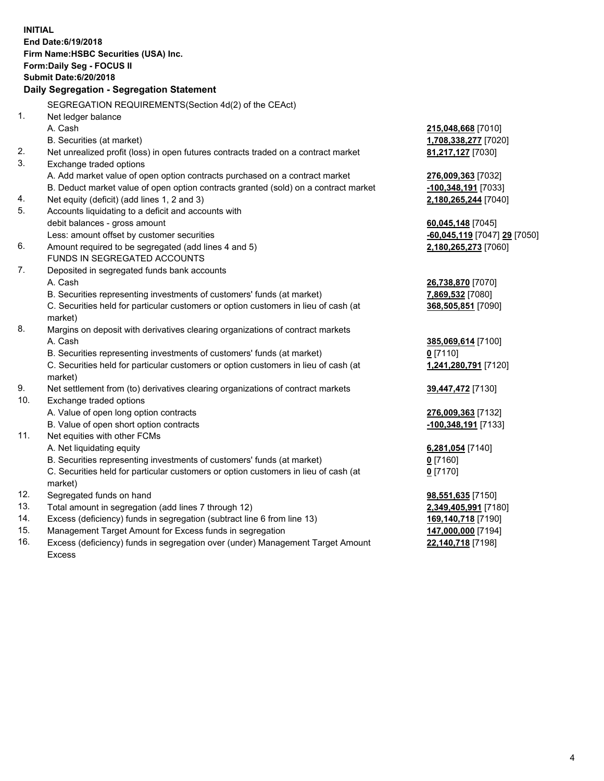| <b>Submit Date:6/20/2018</b><br>Daily Segregation - Segregation Statement<br>SEGREGATION REQUIREMENTS(Section 4d(2) of the CEAct)<br>1.<br>Net ledger balance<br>A. Cash<br>215,048,668 [7010]<br>B. Securities (at market)<br>1,708,338,277 [7020]<br>2.<br>Net unrealized profit (loss) in open futures contracts traded on a contract market<br>81,217,127 [7030]<br>3.<br>Exchange traded options<br>A. Add market value of open option contracts purchased on a contract market<br>276,009,363 [7032]<br>B. Deduct market value of open option contracts granted (sold) on a contract market<br>-100,348,191 [7033]<br>Net equity (deficit) (add lines 1, 2 and 3)<br>4.<br>2,180,265,244 [7040]<br>5.<br>Accounts liquidating to a deficit and accounts with<br>debit balances - gross amount<br>60,045,148 [7045]<br>Less: amount offset by customer securities<br>-60,045,119 [7047] 29 [7050]<br>6.<br>Amount required to be segregated (add lines 4 and 5)<br>2,180,265,273 [7060]<br>FUNDS IN SEGREGATED ACCOUNTS<br>7.<br>Deposited in segregated funds bank accounts<br>A. Cash<br>26,738,870 [7070]<br>B. Securities representing investments of customers' funds (at market)<br>7,869,532 [7080]<br>C. Securities held for particular customers or option customers in lieu of cash (at<br>368,505,851 [7090]<br>market)<br>8.<br>Margins on deposit with derivatives clearing organizations of contract markets<br>A. Cash<br>385,069,614 [7100]<br>B. Securities representing investments of customers' funds (at market)<br>$0$ [7110]<br>C. Securities held for particular customers or option customers in lieu of cash (at<br>1,241,280,791 [7120]<br>market)<br>9.<br>Net settlement from (to) derivatives clearing organizations of contract markets<br>39,447,472 [7130]<br>10.<br>Exchange traded options<br>A. Value of open long option contracts<br>276,009,363 [7132]<br>B. Value of open short option contracts<br>-100,348,191 [7133]<br>11.<br>Net equities with other FCMs<br>A. Net liquidating equity<br>6,281,054 [7140]<br>B. Securities representing investments of customers' funds (at market)<br>0 [7160]<br>C. Securities held for particular customers or option customers in lieu of cash (at<br>$0$ [7170]<br>market)<br>12.<br>Segregated funds on hand<br>98,551,635 [7150]<br>13.<br>Total amount in segregation (add lines 7 through 12)<br>2,349,405,991 [7180]<br>14.<br>Excess (deficiency) funds in segregation (subtract line 6 from line 13)<br>169,140,718 [7190]<br>15.<br>Management Target Amount for Excess funds in segregation<br>147,000,000 [7194] | <b>INITIAL</b> | End Date: 6/19/2018<br>Firm Name: HSBC Securities (USA) Inc.<br>Form: Daily Seg - FOCUS II |  |
|--------------------------------------------------------------------------------------------------------------------------------------------------------------------------------------------------------------------------------------------------------------------------------------------------------------------------------------------------------------------------------------------------------------------------------------------------------------------------------------------------------------------------------------------------------------------------------------------------------------------------------------------------------------------------------------------------------------------------------------------------------------------------------------------------------------------------------------------------------------------------------------------------------------------------------------------------------------------------------------------------------------------------------------------------------------------------------------------------------------------------------------------------------------------------------------------------------------------------------------------------------------------------------------------------------------------------------------------------------------------------------------------------------------------------------------------------------------------------------------------------------------------------------------------------------------------------------------------------------------------------------------------------------------------------------------------------------------------------------------------------------------------------------------------------------------------------------------------------------------------------------------------------------------------------------------------------------------------------------------------------------------------------------------------------------------------------------------------------------------------------------------------------------------------------------------------------------------------------------------------------------------------------------------------------------------------------------------------------------------------------------------------------------------------------------------------------------------------------------------------------------------------------------------------------------------------------------------------------------------------|----------------|--------------------------------------------------------------------------------------------|--|
|                                                                                                                                                                                                                                                                                                                                                                                                                                                                                                                                                                                                                                                                                                                                                                                                                                                                                                                                                                                                                                                                                                                                                                                                                                                                                                                                                                                                                                                                                                                                                                                                                                                                                                                                                                                                                                                                                                                                                                                                                                                                                                                                                                                                                                                                                                                                                                                                                                                                                                                                                                                                                    |                |                                                                                            |  |
|                                                                                                                                                                                                                                                                                                                                                                                                                                                                                                                                                                                                                                                                                                                                                                                                                                                                                                                                                                                                                                                                                                                                                                                                                                                                                                                                                                                                                                                                                                                                                                                                                                                                                                                                                                                                                                                                                                                                                                                                                                                                                                                                                                                                                                                                                                                                                                                                                                                                                                                                                                                                                    |                |                                                                                            |  |
|                                                                                                                                                                                                                                                                                                                                                                                                                                                                                                                                                                                                                                                                                                                                                                                                                                                                                                                                                                                                                                                                                                                                                                                                                                                                                                                                                                                                                                                                                                                                                                                                                                                                                                                                                                                                                                                                                                                                                                                                                                                                                                                                                                                                                                                                                                                                                                                                                                                                                                                                                                                                                    |                |                                                                                            |  |
|                                                                                                                                                                                                                                                                                                                                                                                                                                                                                                                                                                                                                                                                                                                                                                                                                                                                                                                                                                                                                                                                                                                                                                                                                                                                                                                                                                                                                                                                                                                                                                                                                                                                                                                                                                                                                                                                                                                                                                                                                                                                                                                                                                                                                                                                                                                                                                                                                                                                                                                                                                                                                    |                |                                                                                            |  |
|                                                                                                                                                                                                                                                                                                                                                                                                                                                                                                                                                                                                                                                                                                                                                                                                                                                                                                                                                                                                                                                                                                                                                                                                                                                                                                                                                                                                                                                                                                                                                                                                                                                                                                                                                                                                                                                                                                                                                                                                                                                                                                                                                                                                                                                                                                                                                                                                                                                                                                                                                                                                                    |                |                                                                                            |  |
|                                                                                                                                                                                                                                                                                                                                                                                                                                                                                                                                                                                                                                                                                                                                                                                                                                                                                                                                                                                                                                                                                                                                                                                                                                                                                                                                                                                                                                                                                                                                                                                                                                                                                                                                                                                                                                                                                                                                                                                                                                                                                                                                                                                                                                                                                                                                                                                                                                                                                                                                                                                                                    |                |                                                                                            |  |
|                                                                                                                                                                                                                                                                                                                                                                                                                                                                                                                                                                                                                                                                                                                                                                                                                                                                                                                                                                                                                                                                                                                                                                                                                                                                                                                                                                                                                                                                                                                                                                                                                                                                                                                                                                                                                                                                                                                                                                                                                                                                                                                                                                                                                                                                                                                                                                                                                                                                                                                                                                                                                    |                |                                                                                            |  |
|                                                                                                                                                                                                                                                                                                                                                                                                                                                                                                                                                                                                                                                                                                                                                                                                                                                                                                                                                                                                                                                                                                                                                                                                                                                                                                                                                                                                                                                                                                                                                                                                                                                                                                                                                                                                                                                                                                                                                                                                                                                                                                                                                                                                                                                                                                                                                                                                                                                                                                                                                                                                                    |                |                                                                                            |  |
|                                                                                                                                                                                                                                                                                                                                                                                                                                                                                                                                                                                                                                                                                                                                                                                                                                                                                                                                                                                                                                                                                                                                                                                                                                                                                                                                                                                                                                                                                                                                                                                                                                                                                                                                                                                                                                                                                                                                                                                                                                                                                                                                                                                                                                                                                                                                                                                                                                                                                                                                                                                                                    |                |                                                                                            |  |
|                                                                                                                                                                                                                                                                                                                                                                                                                                                                                                                                                                                                                                                                                                                                                                                                                                                                                                                                                                                                                                                                                                                                                                                                                                                                                                                                                                                                                                                                                                                                                                                                                                                                                                                                                                                                                                                                                                                                                                                                                                                                                                                                                                                                                                                                                                                                                                                                                                                                                                                                                                                                                    |                |                                                                                            |  |
|                                                                                                                                                                                                                                                                                                                                                                                                                                                                                                                                                                                                                                                                                                                                                                                                                                                                                                                                                                                                                                                                                                                                                                                                                                                                                                                                                                                                                                                                                                                                                                                                                                                                                                                                                                                                                                                                                                                                                                                                                                                                                                                                                                                                                                                                                                                                                                                                                                                                                                                                                                                                                    |                |                                                                                            |  |
|                                                                                                                                                                                                                                                                                                                                                                                                                                                                                                                                                                                                                                                                                                                                                                                                                                                                                                                                                                                                                                                                                                                                                                                                                                                                                                                                                                                                                                                                                                                                                                                                                                                                                                                                                                                                                                                                                                                                                                                                                                                                                                                                                                                                                                                                                                                                                                                                                                                                                                                                                                                                                    |                |                                                                                            |  |
|                                                                                                                                                                                                                                                                                                                                                                                                                                                                                                                                                                                                                                                                                                                                                                                                                                                                                                                                                                                                                                                                                                                                                                                                                                                                                                                                                                                                                                                                                                                                                                                                                                                                                                                                                                                                                                                                                                                                                                                                                                                                                                                                                                                                                                                                                                                                                                                                                                                                                                                                                                                                                    |                |                                                                                            |  |
|                                                                                                                                                                                                                                                                                                                                                                                                                                                                                                                                                                                                                                                                                                                                                                                                                                                                                                                                                                                                                                                                                                                                                                                                                                                                                                                                                                                                                                                                                                                                                                                                                                                                                                                                                                                                                                                                                                                                                                                                                                                                                                                                                                                                                                                                                                                                                                                                                                                                                                                                                                                                                    |                |                                                                                            |  |
|                                                                                                                                                                                                                                                                                                                                                                                                                                                                                                                                                                                                                                                                                                                                                                                                                                                                                                                                                                                                                                                                                                                                                                                                                                                                                                                                                                                                                                                                                                                                                                                                                                                                                                                                                                                                                                                                                                                                                                                                                                                                                                                                                                                                                                                                                                                                                                                                                                                                                                                                                                                                                    |                |                                                                                            |  |
|                                                                                                                                                                                                                                                                                                                                                                                                                                                                                                                                                                                                                                                                                                                                                                                                                                                                                                                                                                                                                                                                                                                                                                                                                                                                                                                                                                                                                                                                                                                                                                                                                                                                                                                                                                                                                                                                                                                                                                                                                                                                                                                                                                                                                                                                                                                                                                                                                                                                                                                                                                                                                    |                |                                                                                            |  |
|                                                                                                                                                                                                                                                                                                                                                                                                                                                                                                                                                                                                                                                                                                                                                                                                                                                                                                                                                                                                                                                                                                                                                                                                                                                                                                                                                                                                                                                                                                                                                                                                                                                                                                                                                                                                                                                                                                                                                                                                                                                                                                                                                                                                                                                                                                                                                                                                                                                                                                                                                                                                                    |                |                                                                                            |  |
|                                                                                                                                                                                                                                                                                                                                                                                                                                                                                                                                                                                                                                                                                                                                                                                                                                                                                                                                                                                                                                                                                                                                                                                                                                                                                                                                                                                                                                                                                                                                                                                                                                                                                                                                                                                                                                                                                                                                                                                                                                                                                                                                                                                                                                                                                                                                                                                                                                                                                                                                                                                                                    |                |                                                                                            |  |
|                                                                                                                                                                                                                                                                                                                                                                                                                                                                                                                                                                                                                                                                                                                                                                                                                                                                                                                                                                                                                                                                                                                                                                                                                                                                                                                                                                                                                                                                                                                                                                                                                                                                                                                                                                                                                                                                                                                                                                                                                                                                                                                                                                                                                                                                                                                                                                                                                                                                                                                                                                                                                    |                |                                                                                            |  |
|                                                                                                                                                                                                                                                                                                                                                                                                                                                                                                                                                                                                                                                                                                                                                                                                                                                                                                                                                                                                                                                                                                                                                                                                                                                                                                                                                                                                                                                                                                                                                                                                                                                                                                                                                                                                                                                                                                                                                                                                                                                                                                                                                                                                                                                                                                                                                                                                                                                                                                                                                                                                                    |                |                                                                                            |  |
|                                                                                                                                                                                                                                                                                                                                                                                                                                                                                                                                                                                                                                                                                                                                                                                                                                                                                                                                                                                                                                                                                                                                                                                                                                                                                                                                                                                                                                                                                                                                                                                                                                                                                                                                                                                                                                                                                                                                                                                                                                                                                                                                                                                                                                                                                                                                                                                                                                                                                                                                                                                                                    |                |                                                                                            |  |
|                                                                                                                                                                                                                                                                                                                                                                                                                                                                                                                                                                                                                                                                                                                                                                                                                                                                                                                                                                                                                                                                                                                                                                                                                                                                                                                                                                                                                                                                                                                                                                                                                                                                                                                                                                                                                                                                                                                                                                                                                                                                                                                                                                                                                                                                                                                                                                                                                                                                                                                                                                                                                    |                |                                                                                            |  |
|                                                                                                                                                                                                                                                                                                                                                                                                                                                                                                                                                                                                                                                                                                                                                                                                                                                                                                                                                                                                                                                                                                                                                                                                                                                                                                                                                                                                                                                                                                                                                                                                                                                                                                                                                                                                                                                                                                                                                                                                                                                                                                                                                                                                                                                                                                                                                                                                                                                                                                                                                                                                                    |                |                                                                                            |  |
|                                                                                                                                                                                                                                                                                                                                                                                                                                                                                                                                                                                                                                                                                                                                                                                                                                                                                                                                                                                                                                                                                                                                                                                                                                                                                                                                                                                                                                                                                                                                                                                                                                                                                                                                                                                                                                                                                                                                                                                                                                                                                                                                                                                                                                                                                                                                                                                                                                                                                                                                                                                                                    |                |                                                                                            |  |
|                                                                                                                                                                                                                                                                                                                                                                                                                                                                                                                                                                                                                                                                                                                                                                                                                                                                                                                                                                                                                                                                                                                                                                                                                                                                                                                                                                                                                                                                                                                                                                                                                                                                                                                                                                                                                                                                                                                                                                                                                                                                                                                                                                                                                                                                                                                                                                                                                                                                                                                                                                                                                    |                |                                                                                            |  |
|                                                                                                                                                                                                                                                                                                                                                                                                                                                                                                                                                                                                                                                                                                                                                                                                                                                                                                                                                                                                                                                                                                                                                                                                                                                                                                                                                                                                                                                                                                                                                                                                                                                                                                                                                                                                                                                                                                                                                                                                                                                                                                                                                                                                                                                                                                                                                                                                                                                                                                                                                                                                                    |                |                                                                                            |  |
|                                                                                                                                                                                                                                                                                                                                                                                                                                                                                                                                                                                                                                                                                                                                                                                                                                                                                                                                                                                                                                                                                                                                                                                                                                                                                                                                                                                                                                                                                                                                                                                                                                                                                                                                                                                                                                                                                                                                                                                                                                                                                                                                                                                                                                                                                                                                                                                                                                                                                                                                                                                                                    |                |                                                                                            |  |
|                                                                                                                                                                                                                                                                                                                                                                                                                                                                                                                                                                                                                                                                                                                                                                                                                                                                                                                                                                                                                                                                                                                                                                                                                                                                                                                                                                                                                                                                                                                                                                                                                                                                                                                                                                                                                                                                                                                                                                                                                                                                                                                                                                                                                                                                                                                                                                                                                                                                                                                                                                                                                    |                |                                                                                            |  |
|                                                                                                                                                                                                                                                                                                                                                                                                                                                                                                                                                                                                                                                                                                                                                                                                                                                                                                                                                                                                                                                                                                                                                                                                                                                                                                                                                                                                                                                                                                                                                                                                                                                                                                                                                                                                                                                                                                                                                                                                                                                                                                                                                                                                                                                                                                                                                                                                                                                                                                                                                                                                                    |                |                                                                                            |  |
|                                                                                                                                                                                                                                                                                                                                                                                                                                                                                                                                                                                                                                                                                                                                                                                                                                                                                                                                                                                                                                                                                                                                                                                                                                                                                                                                                                                                                                                                                                                                                                                                                                                                                                                                                                                                                                                                                                                                                                                                                                                                                                                                                                                                                                                                                                                                                                                                                                                                                                                                                                                                                    |                |                                                                                            |  |
|                                                                                                                                                                                                                                                                                                                                                                                                                                                                                                                                                                                                                                                                                                                                                                                                                                                                                                                                                                                                                                                                                                                                                                                                                                                                                                                                                                                                                                                                                                                                                                                                                                                                                                                                                                                                                                                                                                                                                                                                                                                                                                                                                                                                                                                                                                                                                                                                                                                                                                                                                                                                                    |                |                                                                                            |  |
|                                                                                                                                                                                                                                                                                                                                                                                                                                                                                                                                                                                                                                                                                                                                                                                                                                                                                                                                                                                                                                                                                                                                                                                                                                                                                                                                                                                                                                                                                                                                                                                                                                                                                                                                                                                                                                                                                                                                                                                                                                                                                                                                                                                                                                                                                                                                                                                                                                                                                                                                                                                                                    |                |                                                                                            |  |
|                                                                                                                                                                                                                                                                                                                                                                                                                                                                                                                                                                                                                                                                                                                                                                                                                                                                                                                                                                                                                                                                                                                                                                                                                                                                                                                                                                                                                                                                                                                                                                                                                                                                                                                                                                                                                                                                                                                                                                                                                                                                                                                                                                                                                                                                                                                                                                                                                                                                                                                                                                                                                    |                |                                                                                            |  |
|                                                                                                                                                                                                                                                                                                                                                                                                                                                                                                                                                                                                                                                                                                                                                                                                                                                                                                                                                                                                                                                                                                                                                                                                                                                                                                                                                                                                                                                                                                                                                                                                                                                                                                                                                                                                                                                                                                                                                                                                                                                                                                                                                                                                                                                                                                                                                                                                                                                                                                                                                                                                                    |                |                                                                                            |  |
|                                                                                                                                                                                                                                                                                                                                                                                                                                                                                                                                                                                                                                                                                                                                                                                                                                                                                                                                                                                                                                                                                                                                                                                                                                                                                                                                                                                                                                                                                                                                                                                                                                                                                                                                                                                                                                                                                                                                                                                                                                                                                                                                                                                                                                                                                                                                                                                                                                                                                                                                                                                                                    |                |                                                                                            |  |
|                                                                                                                                                                                                                                                                                                                                                                                                                                                                                                                                                                                                                                                                                                                                                                                                                                                                                                                                                                                                                                                                                                                                                                                                                                                                                                                                                                                                                                                                                                                                                                                                                                                                                                                                                                                                                                                                                                                                                                                                                                                                                                                                                                                                                                                                                                                                                                                                                                                                                                                                                                                                                    |                |                                                                                            |  |
|                                                                                                                                                                                                                                                                                                                                                                                                                                                                                                                                                                                                                                                                                                                                                                                                                                                                                                                                                                                                                                                                                                                                                                                                                                                                                                                                                                                                                                                                                                                                                                                                                                                                                                                                                                                                                                                                                                                                                                                                                                                                                                                                                                                                                                                                                                                                                                                                                                                                                                                                                                                                                    |                |                                                                                            |  |
| 22,140,718 [7198]                                                                                                                                                                                                                                                                                                                                                                                                                                                                                                                                                                                                                                                                                                                                                                                                                                                                                                                                                                                                                                                                                                                                                                                                                                                                                                                                                                                                                                                                                                                                                                                                                                                                                                                                                                                                                                                                                                                                                                                                                                                                                                                                                                                                                                                                                                                                                                                                                                                                                                                                                                                                  | 16.            | Excess (deficiency) funds in segregation over (under) Management Target Amount             |  |

16. Excess (deficiency) funds in segregation over (under) Management Target Amount Excess